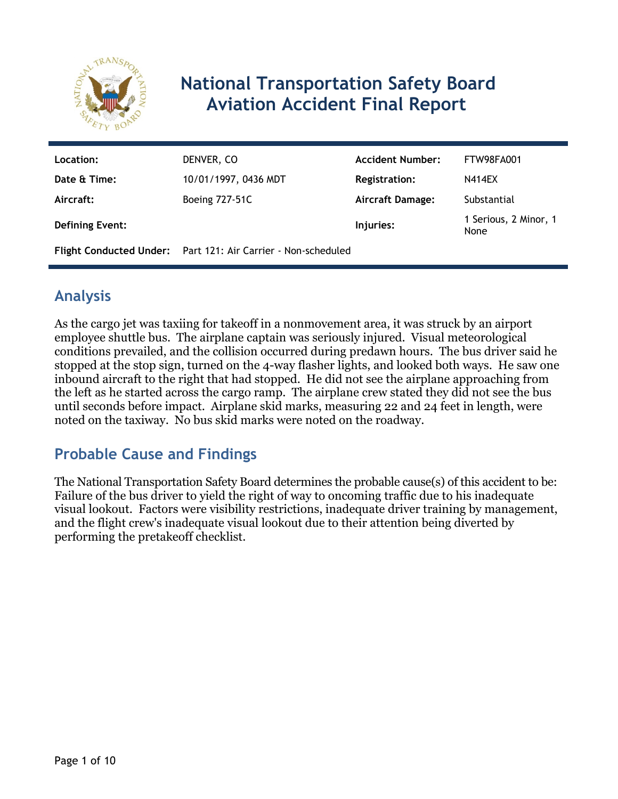

# **National Transportation Safety Board Aviation Accident Final Report**

| Location:              | DENVER, CO                                                    | <b>Accident Number:</b> | FTW98FA001                    |
|------------------------|---------------------------------------------------------------|-------------------------|-------------------------------|
| Date & Time:           | 10/01/1997, 0436 MDT                                          | <b>Registration:</b>    | <b>N414EX</b>                 |
| Aircraft:              | <b>Boeing 727-51C</b>                                         | <b>Aircraft Damage:</b> | Substantial                   |
| <b>Defining Event:</b> |                                                               | Injuries:               | 1 Serious, 2 Minor, 1<br>None |
|                        | Flight Conducted Under: Part 121: Air Carrier - Non-scheduled |                         |                               |

# **Analysis**

As the cargo jet was taxiing for takeoff in a nonmovement area, it was struck by an airport employee shuttle bus. The airplane captain was seriously injured. Visual meteorological conditions prevailed, and the collision occurred during predawn hours. The bus driver said he stopped at the stop sign, turned on the 4-way flasher lights, and looked both ways. He saw one inbound aircraft to the right that had stopped. He did not see the airplane approaching from the left as he started across the cargo ramp. The airplane crew stated they did not see the bus until seconds before impact. Airplane skid marks, measuring 22 and 24 feet in length, were noted on the taxiway. No bus skid marks were noted on the roadway.

# **Probable Cause and Findings**

The National Transportation Safety Board determines the probable cause(s) of this accident to be: Failure of the bus driver to yield the right of way to oncoming traffic due to his inadequate visual lookout. Factors were visibility restrictions, inadequate driver training by management, and the flight crew's inadequate visual lookout due to their attention being diverted by performing the pretakeoff checklist.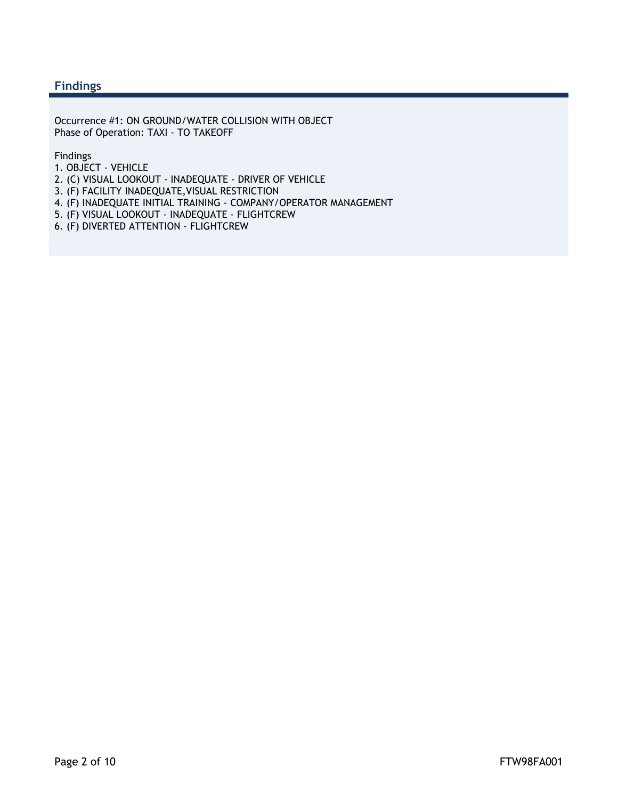#### **Findings**

Occurrence #1: ON GROUND/WATER COLLISION WITH OBJECT Phase of Operation: TAXI - TO TAKEOFF

Findings

- 1. OBJECT VEHICLE
- 2. (C) VISUAL LOOKOUT INADEQUATE DRIVER OF VEHICLE
- 3. (F) FACILITY INADEQUATE,VISUAL RESTRICTION
- 4. (F) INADEQUATE INITIAL TRAINING COMPANY/OPERATOR MANAGEMENT
- 5. (F) VISUAL LOOKOUT INADEQUATE FLIGHTCREW
- 6. (F) DIVERTED ATTENTION FLIGHTCREW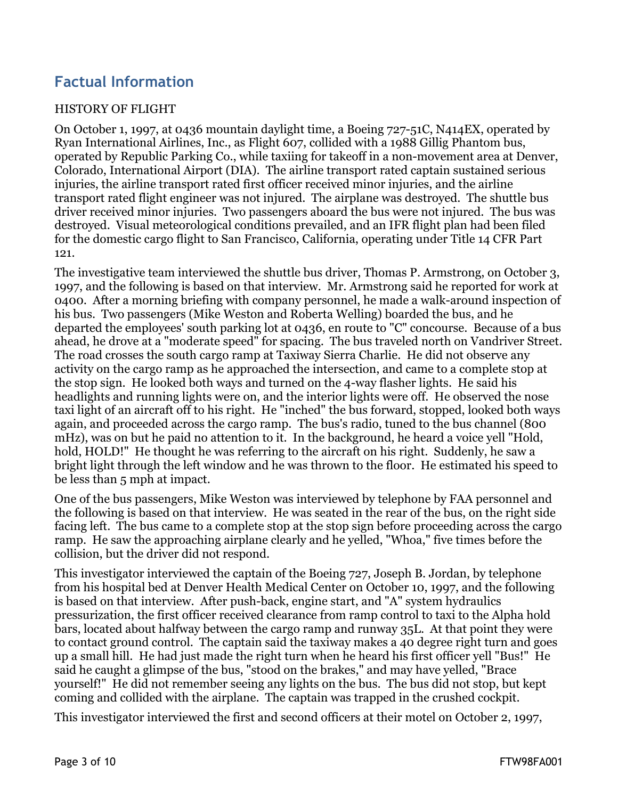## **Factual Information**

#### HISTORY OF FLIGHT

On October 1, 1997, at 0436 mountain daylight time, a Boeing 727-51C, N414EX, operated by Ryan International Airlines, Inc., as Flight 607, collided with a 1988 Gillig Phantom bus, operated by Republic Parking Co., while taxiing for takeoff in a non-movement area at Denver, Colorado, International Airport (DIA). The airline transport rated captain sustained serious injuries, the airline transport rated first officer received minor injuries, and the airline transport rated flight engineer was not injured. The airplane was destroyed. The shuttle bus driver received minor injuries. Two passengers aboard the bus were not injured. The bus was destroyed. Visual meteorological conditions prevailed, and an IFR flight plan had been filed for the domestic cargo flight to San Francisco, California, operating under Title 14 CFR Part 121.

The investigative team interviewed the shuttle bus driver, Thomas P. Armstrong, on October 3, 1997, and the following is based on that interview. Mr. Armstrong said he reported for work at 0400. After a morning briefing with company personnel, he made a walk-around inspection of his bus. Two passengers (Mike Weston and Roberta Welling) boarded the bus, and he departed the employees' south parking lot at 0436, en route to "C" concourse. Because of a bus ahead, he drove at a "moderate speed" for spacing. The bus traveled north on Vandriver Street. The road crosses the south cargo ramp at Taxiway Sierra Charlie. He did not observe any activity on the cargo ramp as he approached the intersection, and came to a complete stop at the stop sign. He looked both ways and turned on the 4-way flasher lights. He said his headlights and running lights were on, and the interior lights were off. He observed the nose taxi light of an aircraft off to his right. He "inched" the bus forward, stopped, looked both ways again, and proceeded across the cargo ramp. The bus's radio, tuned to the bus channel (800 mHz), was on but he paid no attention to it. In the background, he heard a voice yell "Hold, hold, HOLD!" He thought he was referring to the aircraft on his right. Suddenly, he saw a bright light through the left window and he was thrown to the floor. He estimated his speed to be less than 5 mph at impact.

One of the bus passengers, Mike Weston was interviewed by telephone by FAA personnel and the following is based on that interview. He was seated in the rear of the bus, on the right side facing left. The bus came to a complete stop at the stop sign before proceeding across the cargo ramp. He saw the approaching airplane clearly and he yelled, "Whoa," five times before the collision, but the driver did not respond.

This investigator interviewed the captain of the Boeing 727, Joseph B. Jordan, by telephone from his hospital bed at Denver Health Medical Center on October 10, 1997, and the following is based on that interview. After push-back, engine start, and "A" system hydraulics pressurization, the first officer received clearance from ramp control to taxi to the Alpha hold bars, located about halfway between the cargo ramp and runway 35L. At that point they were to contact ground control. The captain said the taxiway makes a 40 degree right turn and goes up a small hill. He had just made the right turn when he heard his first officer yell "Bus!" He said he caught a glimpse of the bus, "stood on the brakes," and may have yelled, "Brace yourself!" He did not remember seeing any lights on the bus. The bus did not stop, but kept coming and collided with the airplane. The captain was trapped in the crushed cockpit.

This investigator interviewed the first and second officers at their motel on October 2, 1997,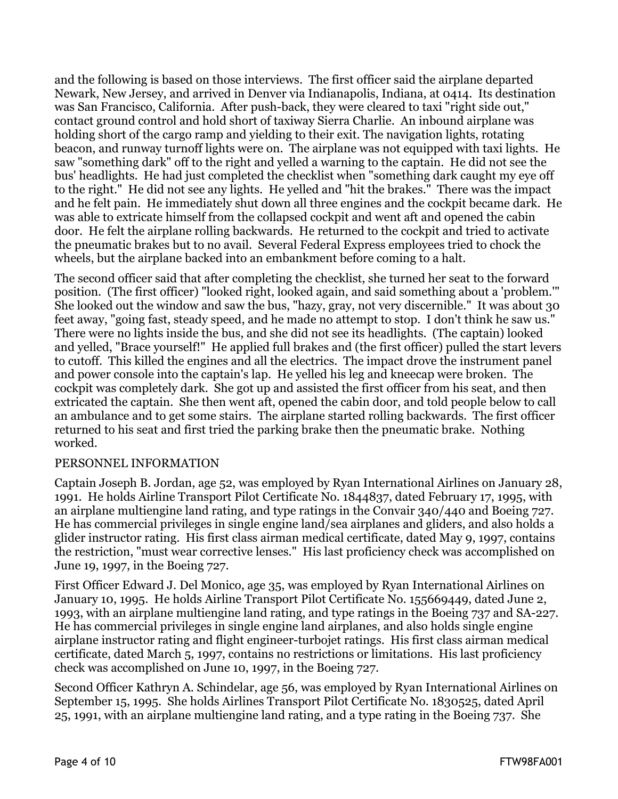and the following is based on those interviews. The first officer said the airplane departed Newark, New Jersey, and arrived in Denver via Indianapolis, Indiana, at 0414. Its destination was San Francisco, California. After push-back, they were cleared to taxi "right side out," contact ground control and hold short of taxiway Sierra Charlie. An inbound airplane was holding short of the cargo ramp and yielding to their exit. The navigation lights, rotating beacon, and runway turnoff lights were on. The airplane was not equipped with taxi lights. He saw "something dark" off to the right and yelled a warning to the captain. He did not see the bus' headlights. He had just completed the checklist when "something dark caught my eye off to the right." He did not see any lights. He yelled and "hit the brakes." There was the impact and he felt pain. He immediately shut down all three engines and the cockpit became dark. He was able to extricate himself from the collapsed cockpit and went aft and opened the cabin door. He felt the airplane rolling backwards. He returned to the cockpit and tried to activate the pneumatic brakes but to no avail. Several Federal Express employees tried to chock the wheels, but the airplane backed into an embankment before coming to a halt.

The second officer said that after completing the checklist, she turned her seat to the forward position. (The first officer) "looked right, looked again, and said something about a 'problem.'" She looked out the window and saw the bus, "hazy, gray, not very discernible." It was about 30 feet away, "going fast, steady speed, and he made no attempt to stop. I don't think he saw us." There were no lights inside the bus, and she did not see its headlights. (The captain) looked and yelled, "Brace yourself!" He applied full brakes and (the first officer) pulled the start levers to cutoff. This killed the engines and all the electrics. The impact drove the instrument panel and power console into the captain's lap. He yelled his leg and kneecap were broken. The cockpit was completely dark. She got up and assisted the first officer from his seat, and then extricated the captain. She then went aft, opened the cabin door, and told people below to call an ambulance and to get some stairs. The airplane started rolling backwards. The first officer returned to his seat and first tried the parking brake then the pneumatic brake. Nothing worked.

#### PERSONNEL INFORMATION

Captain Joseph B. Jordan, age 52, was employed by Ryan International Airlines on January 28, 1991. He holds Airline Transport Pilot Certificate No. 1844837, dated February 17, 1995, with an airplane multiengine land rating, and type ratings in the Convair 340/440 and Boeing 727. He has commercial privileges in single engine land/sea airplanes and gliders, and also holds a glider instructor rating. His first class airman medical certificate, dated May 9, 1997, contains the restriction, "must wear corrective lenses." His last proficiency check was accomplished on June 19, 1997, in the Boeing 727.

First Officer Edward J. Del Monico, age 35, was employed by Ryan International Airlines on January 10, 1995. He holds Airline Transport Pilot Certificate No. 155669449, dated June 2, 1993, with an airplane multiengine land rating, and type ratings in the Boeing 737 and SA-227. He has commercial privileges in single engine land airplanes, and also holds single engine airplane instructor rating and flight engineer-turbojet ratings. His first class airman medical certificate, dated March 5, 1997, contains no restrictions or limitations. His last proficiency check was accomplished on June 10, 1997, in the Boeing 727.

Second Officer Kathryn A. Schindelar, age 56, was employed by Ryan International Airlines on September 15, 1995. She holds Airlines Transport Pilot Certificate No. 1830525, dated April 25, 1991, with an airplane multiengine land rating, and a type rating in the Boeing 737. She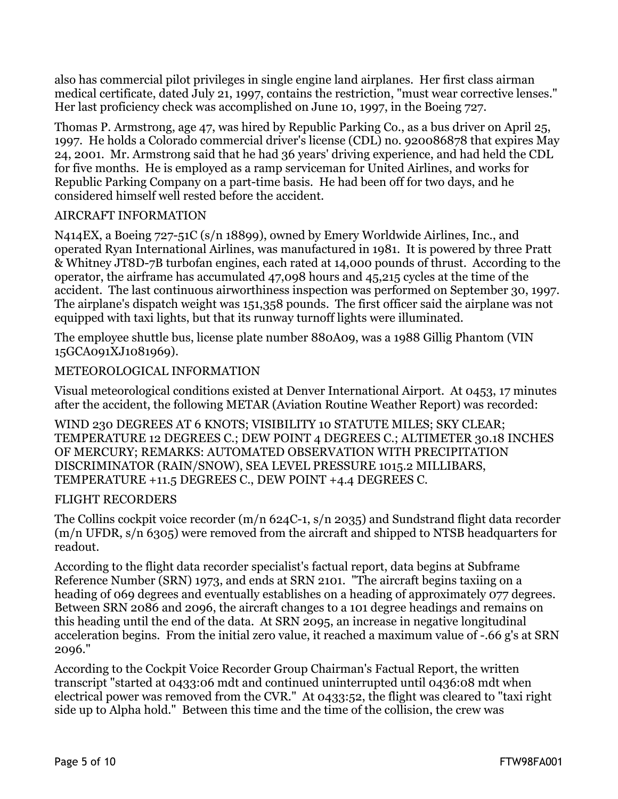also has commercial pilot privileges in single engine land airplanes. Her first class airman medical certificate, dated July 21, 1997, contains the restriction, "must wear corrective lenses." Her last proficiency check was accomplished on June 10, 1997, in the Boeing 727.

Thomas P. Armstrong, age 47, was hired by Republic Parking Co., as a bus driver on April 25, 1997. He holds a Colorado commercial driver's license (CDL) no. 920086878 that expires May 24, 2001. Mr. Armstrong said that he had 36 years' driving experience, and had held the CDL for five months. He is employed as a ramp serviceman for United Airlines, and works for Republic Parking Company on a part-time basis. He had been off for two days, and he considered himself well rested before the accident.

#### AIRCRAFT INFORMATION

N414EX, a Boeing 727-51C (s/n 18899), owned by Emery Worldwide Airlines, Inc., and operated Ryan International Airlines, was manufactured in 1981. It is powered by three Pratt & Whitney JT8D-7B turbofan engines, each rated at 14,000 pounds of thrust. According to the operator, the airframe has accumulated 47,098 hours and 45,215 cycles at the time of the accident. The last continuous airworthiness inspection was performed on September 30, 1997. The airplane's dispatch weight was 151,358 pounds. The first officer said the airplane was not equipped with taxi lights, but that its runway turnoff lights were illuminated.

The employee shuttle bus, license plate number 880A09, was a 1988 Gillig Phantom (VIN 15GCA091XJ1081969).

#### METEOROLOGICAL INFORMATION

Visual meteorological conditions existed at Denver International Airport. At 0453, 17 minutes after the accident, the following METAR (Aviation Routine Weather Report) was recorded:

WIND 230 DEGREES AT 6 KNOTS; VISIBILITY 10 STATUTE MILES; SKY CLEAR; TEMPERATURE 12 DEGREES C.; DEW POINT 4 DEGREES C.; ALTIMETER 30.18 INCHES OF MERCURY; REMARKS: AUTOMATED OBSERVATION WITH PRECIPITATION DISCRIMINATOR (RAIN/SNOW), SEA LEVEL PRESSURE 1015.2 MILLIBARS, TEMPERATURE +11.5 DEGREES C., DEW POINT +4.4 DEGREES C.

#### FLIGHT RECORDERS

The Collins cockpit voice recorder (m/n 624C-1, s/n 2035) and Sundstrand flight data recorder (m/n UFDR, s/n 6305) were removed from the aircraft and shipped to NTSB headquarters for readout.

According to the flight data recorder specialist's factual report, data begins at Subframe Reference Number (SRN) 1973, and ends at SRN 2101. "The aircraft begins taxiing on a heading of 069 degrees and eventually establishes on a heading of approximately 077 degrees. Between SRN 2086 and 2096, the aircraft changes to a 101 degree headings and remains on this heading until the end of the data. At SRN 2095, an increase in negative longitudinal acceleration begins. From the initial zero value, it reached a maximum value of -.66 g's at SRN 2096."

According to the Cockpit Voice Recorder Group Chairman's Factual Report, the written transcript "started at 0433:06 mdt and continued uninterrupted until 0436:08 mdt when electrical power was removed from the CVR." At 0433:52, the flight was cleared to "taxi right side up to Alpha hold." Between this time and the time of the collision, the crew was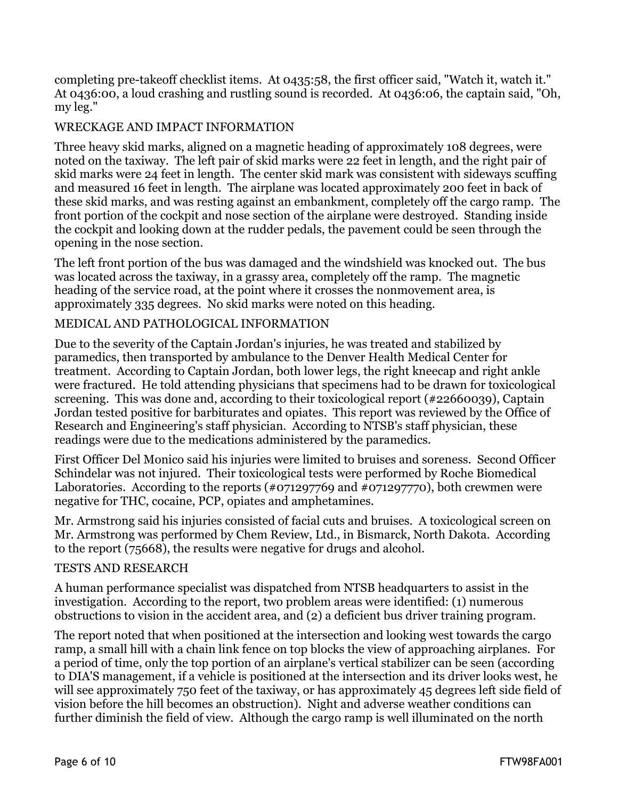completing pre-takeoff checklist items. At 0435:58, the first officer said, "Watch it, watch it." At 0436:00, a loud crashing and rustling sound is recorded. At 0436:06, the captain said, "Oh, my leg."

#### WRECKAGE AND IMPACT INFORMATION

Three heavy skid marks, aligned on a magnetic heading of approximately 108 degrees, were noted on the taxiway. The left pair of skid marks were 22 feet in length, and the right pair of skid marks were 24 feet in length. The center skid mark was consistent with sideways scuffing and measured 16 feet in length. The airplane was located approximately 200 feet in back of these skid marks, and was resting against an embankment, completely off the cargo ramp. The front portion of the cockpit and nose section of the airplane were destroyed. Standing inside the cockpit and looking down at the rudder pedals, the pavement could be seen through the opening in the nose section.

The left front portion of the bus was damaged and the windshield was knocked out. The bus was located across the taxiway, in a grassy area, completely off the ramp. The magnetic heading of the service road, at the point where it crosses the nonmovement area, is approximately 335 degrees. No skid marks were noted on this heading.

#### MEDICAL AND PATHOLOGICAL INFORMATION

Due to the severity of the Captain Jordan's injuries, he was treated and stabilized by paramedics, then transported by ambulance to the Denver Health Medical Center for treatment. According to Captain Jordan, both lower legs, the right kneecap and right ankle were fractured. He told attending physicians that specimens had to be drawn for toxicological screening. This was done and, according to their toxicological report (#22660039), Captain Jordan tested positive for barbiturates and opiates. This report was reviewed by the Office of Research and Engineering's staff physician. According to NTSB's staff physician, these readings were due to the medications administered by the paramedics.

First Officer Del Monico said his injuries were limited to bruises and soreness. Second Officer Schindelar was not injured. Their toxicological tests were performed by Roche Biomedical Laboratories. According to the reports (#071297769 and #071297770), both crewmen were negative for THC, cocaine, PCP, opiates and amphetamines.

Mr. Armstrong said his injuries consisted of facial cuts and bruises. A toxicological screen on Mr. Armstrong was performed by Chem Review, Ltd., in Bismarck, North Dakota. According to the report (75668), the results were negative for drugs and alcohol.

#### TESTS AND RESEARCH

A human performance specialist was dispatched from NTSB headquarters to assist in the investigation. According to the report, two problem areas were identified: (1) numerous obstructions to vision in the accident area, and (2) a deficient bus driver training program.

The report noted that when positioned at the intersection and looking west towards the cargo ramp, a small hill with a chain link fence on top blocks the view of approaching airplanes. For a period of time, only the top portion of an airplane's vertical stabilizer can be seen (according to DIA'S management, if a vehicle is positioned at the intersection and its driver looks west, he will see approximately 750 feet of the taxiway, or has approximately 45 degrees left side field of vision before the hill becomes an obstruction). Night and adverse weather conditions can further diminish the field of view. Although the cargo ramp is well illuminated on the north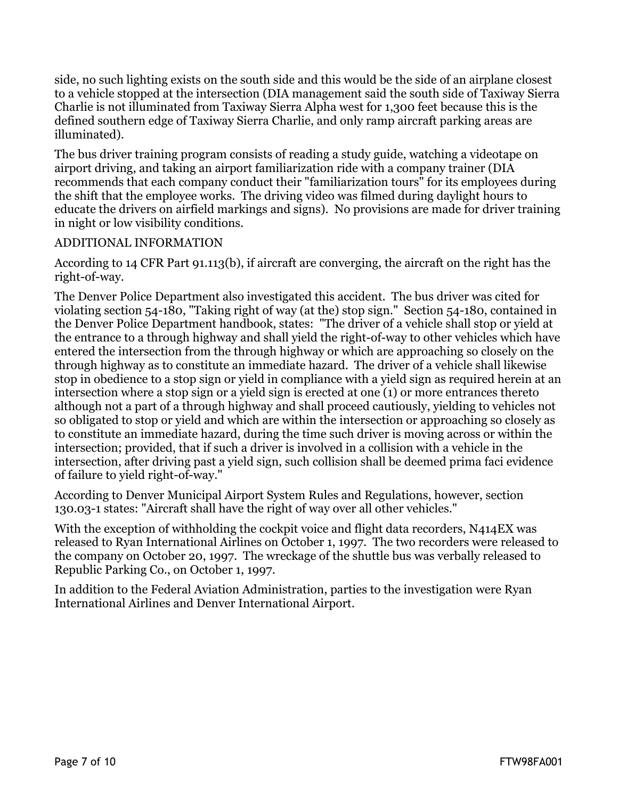side, no such lighting exists on the south side and this would be the side of an airplane closest to a vehicle stopped at the intersection (DIA management said the south side of Taxiway Sierra Charlie is not illuminated from Taxiway Sierra Alpha west for 1,300 feet because this is the defined southern edge of Taxiway Sierra Charlie, and only ramp aircraft parking areas are illuminated).

The bus driver training program consists of reading a study guide, watching a videotape on airport driving, and taking an airport familiarization ride with a company trainer (DIA recommends that each company conduct their "familiarization tours" for its employees during the shift that the employee works. The driving video was filmed during daylight hours to educate the drivers on airfield markings and signs). No provisions are made for driver training in night or low visibility conditions.

#### ADDITIONAL INFORMATION

According to 14 CFR Part 91.113(b), if aircraft are converging, the aircraft on the right has the right-of-way.

The Denver Police Department also investigated this accident. The bus driver was cited for violating section 54-180, "Taking right of way (at the) stop sign." Section 54-180, contained in the Denver Police Department handbook, states: "The driver of a vehicle shall stop or yield at the entrance to a through highway and shall yield the right-of-way to other vehicles which have entered the intersection from the through highway or which are approaching so closely on the through highway as to constitute an immediate hazard. The driver of a vehicle shall likewise stop in obedience to a stop sign or yield in compliance with a yield sign as required herein at an intersection where a stop sign or a yield sign is erected at one (1) or more entrances thereto although not a part of a through highway and shall proceed cautiously, yielding to vehicles not so obligated to stop or yield and which are within the intersection or approaching so closely as to constitute an immediate hazard, during the time such driver is moving across or within the intersection; provided, that if such a driver is involved in a collision with a vehicle in the intersection, after driving past a yield sign, such collision shall be deemed prima faci evidence of failure to yield right-of-way."

According to Denver Municipal Airport System Rules and Regulations, however, section 130.03-1 states: "Aircraft shall have the right of way over all other vehicles."

With the exception of withholding the cockpit voice and flight data recorders, N414EX was released to Ryan International Airlines on October 1, 1997. The two recorders were released to the company on October 20, 1997. The wreckage of the shuttle bus was verbally released to Republic Parking Co., on October 1, 1997.

In addition to the Federal Aviation Administration, parties to the investigation were Ryan International Airlines and Denver International Airport.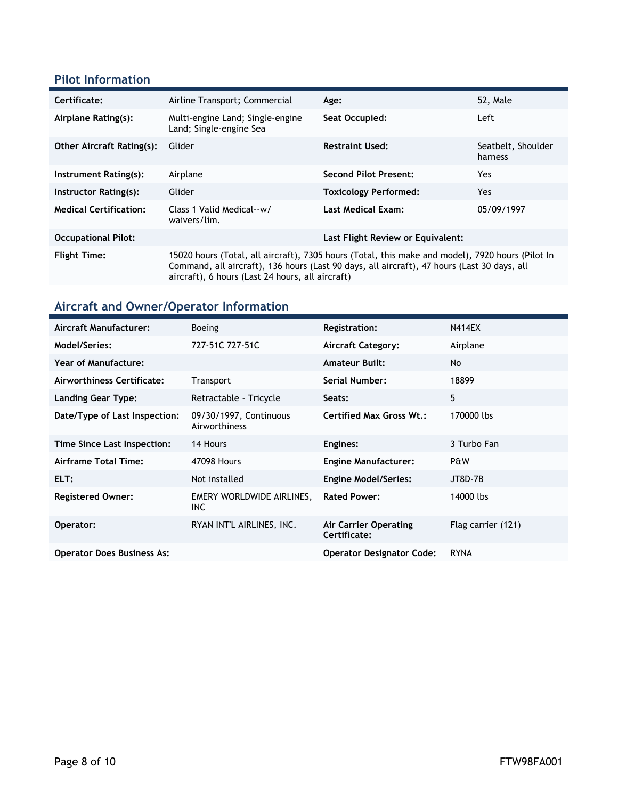### **Pilot Information**

| Certificate:                     | Airline Transport; Commercial<br>Age:                                                                                                                                                                                                               |                                   | 52, Male                      |
|----------------------------------|-----------------------------------------------------------------------------------------------------------------------------------------------------------------------------------------------------------------------------------------------------|-----------------------------------|-------------------------------|
| Airplane Rating(s):              | Multi-engine Land; Single-engine<br>Land; Single-engine Sea                                                                                                                                                                                         | Seat Occupied:                    | Left                          |
| <b>Other Aircraft Rating(s):</b> | Glider                                                                                                                                                                                                                                              | <b>Restraint Used:</b>            | Seatbelt, Shoulder<br>harness |
| Instrument Rating(s):            | Airplane                                                                                                                                                                                                                                            | <b>Second Pilot Present:</b>      | Yes                           |
| Instructor Rating(s):            | Glider                                                                                                                                                                                                                                              | <b>Toxicology Performed:</b>      | Yes.                          |
| <b>Medical Certification:</b>    | Class 1 Valid Medical--w/<br>waivers/lim.                                                                                                                                                                                                           | <b>Last Medical Exam:</b>         | 05/09/1997                    |
| <b>Occupational Pilot:</b>       |                                                                                                                                                                                                                                                     | Last Flight Review or Equivalent: |                               |
| <b>Flight Time:</b>              | 15020 hours (Total, all aircraft), 7305 hours (Total, this make and model), 7920 hours (Pilot In<br>Command, all aircraft), 136 hours (Last 90 days, all aircraft), 47 hours (Last 30 days, all<br>aircraft), 6 hours (Last 24 hours, all aircraft) |                                   |                               |

# **Aircraft and Owner/Operator Information**

| <b>Aircraft Manufacturer:</b>     | <b>Boeing</b>                           | <b>Registration:</b>                  | <b>N414EX</b>      |
|-----------------------------------|-----------------------------------------|---------------------------------------|--------------------|
| Model/Series:                     | 727-51C 727-51C                         | <b>Aircraft Category:</b>             | Airplane           |
| <b>Year of Manufacture:</b>       |                                         | <b>Amateur Built:</b>                 | No                 |
| Airworthiness Certificate:        | <b>Transport</b>                        | Serial Number:                        | 18899              |
| <b>Landing Gear Type:</b>         | Retractable - Tricycle                  | Seats:                                | 5                  |
| Date/Type of Last Inspection:     | 09/30/1997, Continuous<br>Airworthiness | <b>Certified Max Gross Wt.:</b>       | 170000 lbs         |
| Time Since Last Inspection:       | 14 Hours                                | Engines:                              | 3 Turbo Fan        |
| Airframe Total Time:              | 47098 Hours                             | <b>Engine Manufacturer:</b>           | P&W                |
| ELT:                              | Not installed                           | <b>Engine Model/Series:</b>           | <b>JT8D-7B</b>     |
| <b>Registered Owner:</b>          | EMERY WORLDWIDE AIRLINES,<br><b>INC</b> | <b>Rated Power:</b>                   | 14000 lbs          |
| Operator:                         | RYAN INT'L AIRLINES, INC.               | Air Carrier Operating<br>Certificate: | Flag carrier (121) |
| <b>Operator Does Business As:</b> |                                         | <b>Operator Designator Code:</b>      | <b>RYNA</b>        |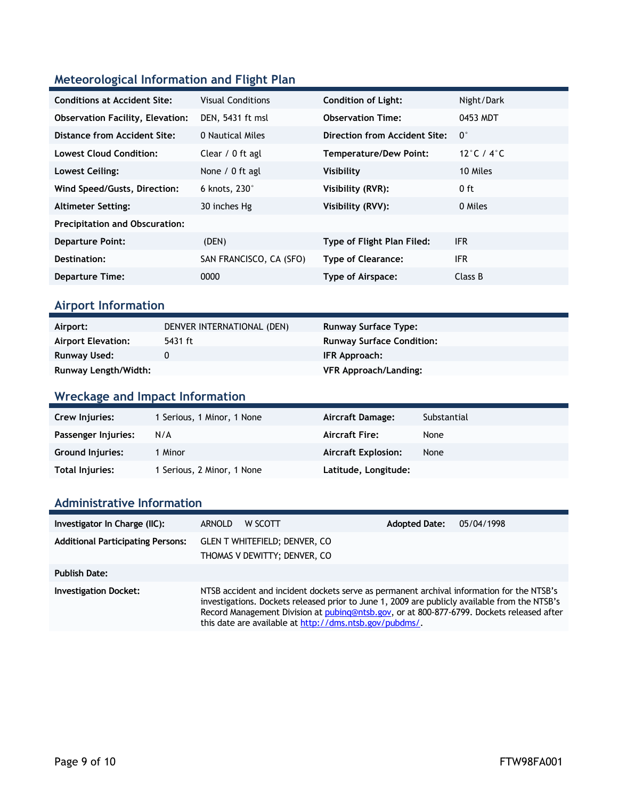### **Meteorological Information and Flight Plan**

| <b>Conditions at Accident Site:</b>     | <b>Visual Conditions</b> | <b>Condition of Light:</b>    | Night/Dark                     |
|-----------------------------------------|--------------------------|-------------------------------|--------------------------------|
| <b>Observation Facility, Elevation:</b> | DEN, 5431 ft msl         | <b>Observation Time:</b>      | 0453 MDT                       |
| Distance from Accident Site:            | 0 Nautical Miles         | Direction from Accident Site: | $0^{\circ}$                    |
| <b>Lowest Cloud Condition:</b>          | Clear / 0 ft agl         | <b>Temperature/Dew Point:</b> | 12 $\degree$ C / 4 $\degree$ C |
| Lowest Ceiling:                         | None $/ 0$ ft agl        | Visibility                    | 10 Miles                       |
| Wind Speed/Gusts, Direction:            | 6 knots, $230^\circ$     | Visibility (RVR):             | $0$ ft                         |
| <b>Altimeter Setting:</b>               | 30 inches Hg             | Visibility (RVV):             | 0 Miles                        |
| <b>Precipitation and Obscuration:</b>   |                          |                               |                                |
| <b>Departure Point:</b>                 | (DEN)                    | Type of Flight Plan Filed:    | IFR.                           |
| Destination:                            | SAN FRANCISCO, CA (SFO)  | <b>Type of Clearance:</b>     | <b>IFR</b>                     |
| <b>Departure Time:</b>                  | 0000                     | Type of Airspace:             | Class B                        |

### **Airport Information**

| Airport:                  | DENVER INTERNATIONAL (DEN) | <b>Runway Surface Type:</b>      |
|---------------------------|----------------------------|----------------------------------|
| <b>Airport Elevation:</b> | 5431 ft                    | <b>Runway Surface Condition:</b> |
| Runway Used:              |                            | IFR Approach:                    |
| Runway Length/Width:      |                            | <b>VFR Approach/Landing:</b>     |

### **Wreckage and Impact Information**

| Crew Injuries:          | 1 Serious, 1 Minor, 1 None | Aircraft Damage:           | Substantial |
|-------------------------|----------------------------|----------------------------|-------------|
| Passenger Injuries:     | N/A                        | <b>Aircraft Fire:</b>      | None        |
| <b>Ground Injuries:</b> | Minor                      | <b>Aircraft Explosion:</b> | None        |
| Total Injuries:         | 1 Serious, 2 Minor, 1 None | Latitude, Longitude:       |             |

#### **Administrative Information**

| Investigator In Charge (IIC):            | <b>ARNOLD</b> | W SCOTT                                                                                                                                                                                                                                                                                                                                            | <b>Adopted Date:</b> | 05/04/1998 |
|------------------------------------------|---------------|----------------------------------------------------------------------------------------------------------------------------------------------------------------------------------------------------------------------------------------------------------------------------------------------------------------------------------------------------|----------------------|------------|
| <b>Additional Participating Persons:</b> |               | <b>GLEN T WHITEFIELD; DENVER, CO</b><br>THOMAS V DEWITTY; DENVER, CO                                                                                                                                                                                                                                                                               |                      |            |
| <b>Publish Date:</b>                     |               |                                                                                                                                                                                                                                                                                                                                                    |                      |            |
| <b>Investigation Docket:</b>             |               | NTSB accident and incident dockets serve as permanent archival information for the NTSB's<br>investigations. Dockets released prior to June 1, 2009 are publicly available from the NTSB's<br>Record Management Division at pubing@ntsb.gov, or at 800-877-6799. Dockets released after<br>this date are available at http://dms.ntsb.gov/pubdms/. |                      |            |